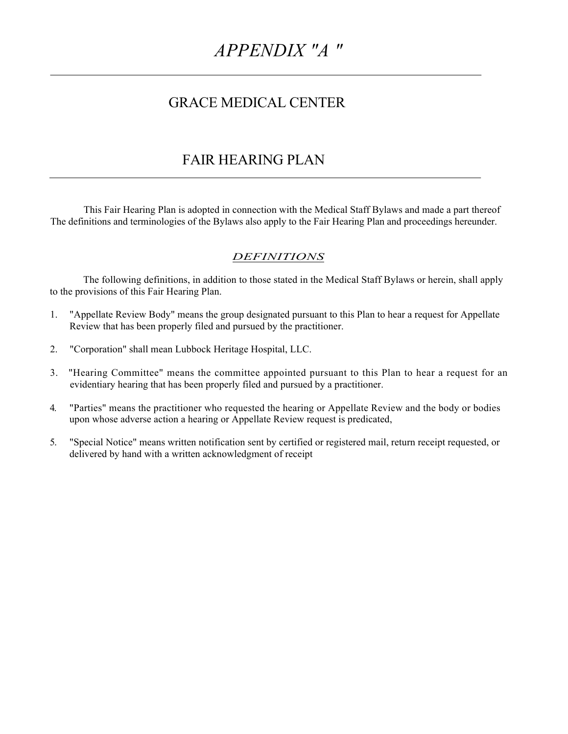# *APPENDIX "A "*

# GRACE MEDICAL CENTER

# FAIR HEARING PLAN

This Fair Hearing Plan is adopted in connection with the Medical Staff Bylaws and made a part thereof The definitions and terminologies of the Bylaws also apply to the Fair Hearing Plan and proceedings hereunder.

# *DEFINITIONS*

The following definitions, in addition to those stated in the Medical Staff Bylaws or herein, shall apply to the provisions of this Fair Hearing Plan.

- 1. "Appellate Review Body" means the group designated pursuant to this Plan to hear a request for Appellate Review that has been properly filed and pursued by the practitioner.
- 2. "Corporation" shall mean Lubbock Heritage Hospital, LLC.
- 3. "Hearing Committee" means the committee appointed pursuant to this Plan to hear a request for an evidentiary hearing that has been properly filed and pursued by a practitioner.
- 4. "Parties" means the practitioner who requested the hearing or Appellate Review and the body or bodies upon whose adverse action a hearing or Appellate Review request is predicated,
- 5. "Special Notice" means written notification sent by certified or registered mail, return receipt requested, or delivered by hand with a written acknowledgment of receipt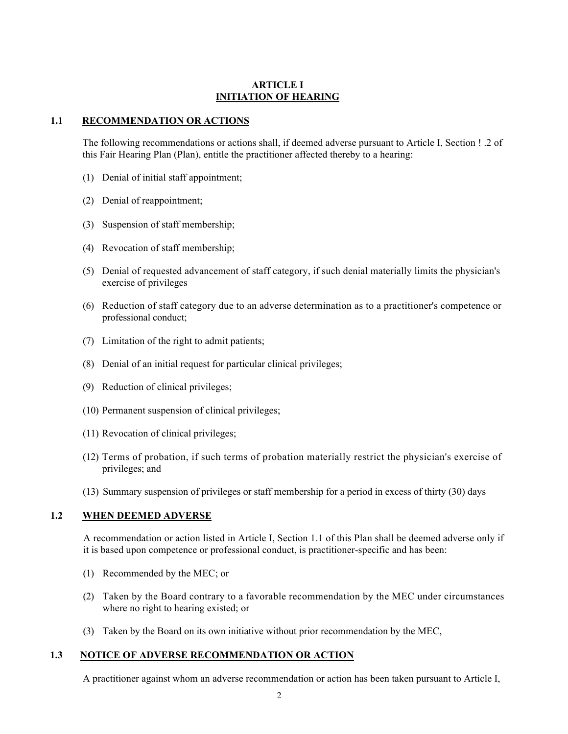#### **ARTICLE I INITIATION OF HEARING**

#### **1.1 RECOMMENDATION OR ACTIONS**

The following recommendations or actions shall, if deemed adverse pursuant to Article I, Section ! .2 of this Fair Hearing Plan (Plan), entitle the practitioner affected thereby to a hearing:

- (1) Denial of initial staff appointment;
- (2) Denial of reappointment;
- (3) Suspension of staff membership;
- (4) Revocation of staff membership;
- (5) Denial of requested advancement of staff category, if such denial materially limits the physician's exercise of privileges
- (6) Reduction of staff category due to an adverse determination as to a practitioner's competence or professional conduct;
- (7) Limitation of the right to admit patients;
- (8) Denial of an initial request for particular clinical privileges;
- (9) Reduction of clinical privileges;
- (10) Permanent suspension of clinical privileges;
- (11) Revocation of clinical privileges;
- (12) Terms of probation, if such terms of probation materially restrict the physician's exercise of privileges; and
- (13) Summary suspension of privileges or staff membership for a period in excess of thirty (30) days

#### **1.2 WHEN DEEMED ADVERSE**

A recommendation or action listed in Article I, Section 1.1 of this Plan shall be deemed adverse only if it is based upon competence or professional conduct, is practitioner-specific and has been:

- (1) Recommended by the MEC; or
- (2) Taken by the Board contrary to a favorable recommendation by the MEC under circumstances where no right to hearing existed; or
- (3) Taken by the Board on its own initiative without prior recommendation by the MEC,

#### **1.3 NOTICE OF ADVERSE RECOMMENDATION OR ACTION**

A practitioner against whom an adverse recommendation or action has been taken pursuant to Article I,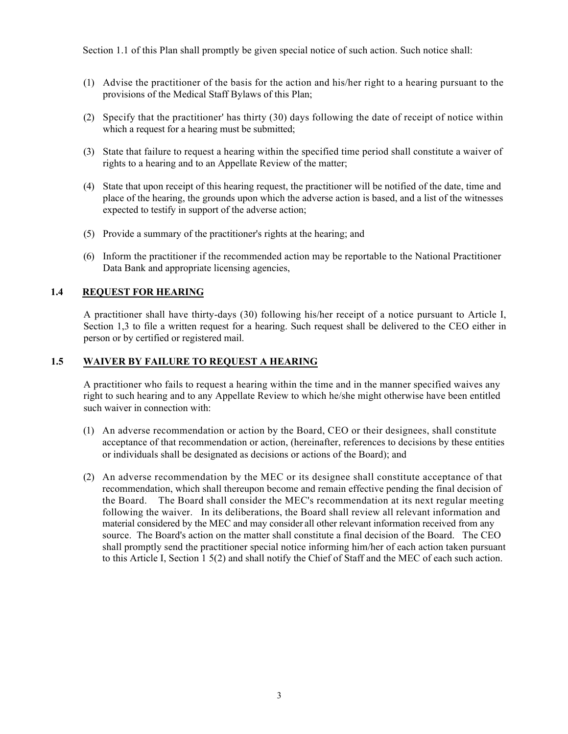Section 1.1 of this Plan shall promptly be given special notice of such action. Such notice shall:

- (1) Advise the practitioner of the basis for the action and his/her right to a hearing pursuant to the provisions of the Medical Staff Bylaws of this Plan;
- (2) Specify that the practitioner' has thirty (30) days following the date of receipt of notice within which a request for a hearing must be submitted;
- (3) State that failure to request a hearing within the specified time period shall constitute a waiver of rights to a hearing and to an Appellate Review of the matter;
- (4) State that upon receipt of this hearing request, the practitioner will be notified of the date, time and place of the hearing, the grounds upon which the adverse action is based, and a list of the witnesses expected to testify in support of the adverse action;
- (5) Provide a summary of the practitioner's rights at the hearing; and
- (6) Inform the practitioner if the recommended action may be reportable to the National Practitioner Data Bank and appropriate licensing agencies,

#### **1.4 REQUEST FOR HEARING**

A practitioner shall have thirty-days (30) following his/her receipt of a notice pursuant to Article I, Section 1,3 to file a written request for a hearing. Such request shall be delivered to the CEO either in person or by certified or registered mail.

# **1.5 WAIVER BY FAILURE TO REQUEST A HEARING**

A practitioner who fails to request a hearing within the time and in the manner specified waives any right to such hearing and to any Appellate Review to which he/she might otherwise have been entitled such waiver in connection with:

- (1) An adverse recommendation or action by the Board, CEO or their designees, shall constitute acceptance of that recommendation or action, (hereinafter, references to decisions by these entities or individuals shall be designated as decisions or actions of the Board); and
- (2) An adverse recommendation by the MEC or its designee shall constitute acceptance of that recommendation, which shall thereupon become and remain effective pending the final decision of the Board. The Board shall consider the MEC's recommendation at its next regular meeting following the waiver. In its deliberations, the Board shall review all relevant information and material considered by the MEC and may consider all other relevant information received from any source. The Board's action on the matter shall constitute a final decision of the Board. The CEO shall promptly send the practitioner special notice informing him/her of each action taken pursuant to this Article I, Section 1 5(2) and shall notify the Chief of Staff and the MEC of each such action.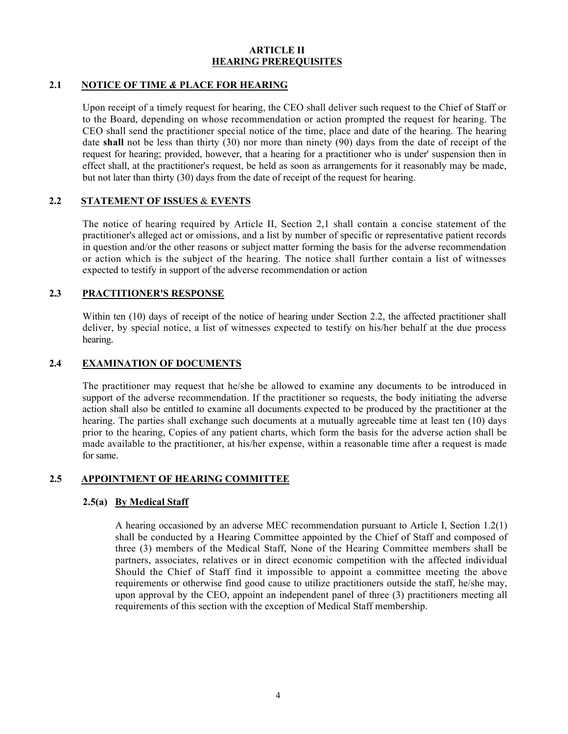#### **ARTICLE II HEARING PREREQUISITES**

# **2.1 NOTICE OF TIME** *&* **PLACE FOR HEARING**

Upon receipt of a timely request for hearing, the CEO shall deliver such request to the Chief of Staff or to the Board, depending on whose recommendation or action prompted the request for hearing. The CEO shall send the practitioner special notice of the time, place and date of the hearing. The hearing date **shall** not be less than thirty (30) nor more than ninety (90) days from the date of receipt of the request for hearing; provided, however, that a hearing for a practitioner who is under' suspension then in effect shall, at the practitioner's request, be held as soon as arrangements for it reasonably may be made, but not later than thirty (30) days from the date of receipt of the request for hearing.

# **2.2 STATEMENT OF ISSUES** & **EVENTS**

The notice of hearing required by Article II, Section 2,1 shall contain a concise statement of the practitioner's alleged act or omissions, and a list by number of specific or representative patient records in question and/or the other reasons or subject matter forming the basis for the adverse recommendation or action which is the subject of the hearing. The notice shall further contain a list of witnesses expected to testify in support of the adverse recommendation or action

#### **2.3 PRACTITIONER'S RESPONSE**

Within ten (10) days of receipt of the notice of hearing under Section 2.2, the affected practitioner shall deliver, by special notice, a list of witnesses expected to testify on his/her behalf at the due process hearing.

#### **2.4 EXAMINATION OF DOCUMENTS**

The practitioner may request that he/she be allowed to examine any documents to be introduced in support of the adverse recommendation. If the practitioner so requests, the body initiating the adverse action shall also be entitled to examine all documents expected to be produced by the practitioner at the hearing. The parties shall exchange such documents at a mutually agreeable time at least ten (10) days prior to the hearing, Copies of any patient charts, which form the basis for the adverse action shall be made available to the practitioner, at his/her expense, within a reasonable time after a request is made for same.

#### **2.5 APPOINTMENT OF HEARING COMMITTEE**

#### **2.5(a) By Medical Staff**

A hearing occasioned by an adverse MEC recommendation pursuant to Article I, Section 1.2(1) shall be conducted by a Hearing Committee appointed by the Chief of Staff and composed of three (3) members of the Medical Staff, None of the Hearing Committee members shall be partners, associates, relatives or in direct economic competition with the affected individual Should the Chief of Staff find it impossible to appoint a committee meeting the above requirements or otherwise find good cause to utilize practitioners outside the staff, he/she may, upon approval by the CEO, appoint an independent panel of three (3) practitioners meeting all requirements of this section with the exception of Medical Staff membership.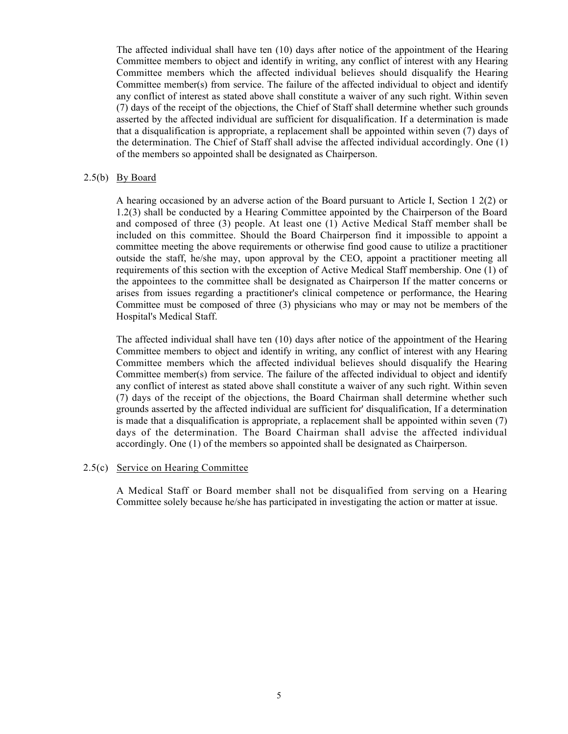The affected individual shall have ten (10) days after notice of the appointment of the Hearing Committee members to object and identify in writing, any conflict of interest with any Hearing Committee members which the affected individual believes should disqualify the Hearing Committee member(s) from service. The failure of the affected individual to object and identify any conflict of interest as stated above shall constitute a waiver of any such right. Within seven (7) days of the receipt of the objections, the Chief of Staff shall determine whether such grounds asserted by the affected individual are sufficient for disqualification. If a determination is made that a disqualification is appropriate, a replacement shall be appointed within seven (7) days of the determination. The Chief of Staff shall advise the affected individual accordingly. One (1) of the members so appointed shall be designated as Chairperson.

#### 2.5(b) By Board

A hearing occasioned by an adverse action of the Board pursuant to Article I, Section 1 2(2) or 1.2(3) shall be conducted by a Hearing Committee appointed by the Chairperson of the Board and composed of three (3) people. At least one (1) Active Medical Staff member shall be included on this committee. Should the Board Chairperson find it impossible to appoint a committee meeting the above requirements or otherwise find good cause to utilize a practitioner outside the staff, he/she may, upon approval by the CEO, appoint a practitioner meeting all requirements of this section with the exception of Active Medical Staff membership. One (1) of the appointees to the committee shall be designated as Chairperson If the matter concerns or arises from issues regarding a practitioner's clinical competence or performance, the Hearing Committee must be composed of three (3) physicians who may or may not be members of the Hospital's Medical Staff.

The affected individual shall have ten (10) days after notice of the appointment of the Hearing Committee members to object and identify in writing, any conflict of interest with any Hearing Committee members which the affected individual believes should disqualify the Hearing Committee member(s) from service. The failure of the affected individual to object and identify any conflict of interest as stated above shall constitute a waiver of any such right. Within seven (7) days of the receipt of the objections, the Board Chairman shall determine whether such grounds asserted by the affected individual are sufficient for' disqualification, If a determination is made that a disqualification is appropriate, a replacement shall be appointed within seven (7) days of the determination. The Board Chairman shall advise the affected individual accordingly. One (1) of the members so appointed shall be designated as Chairperson.

#### 2.5(c) Service on Hearing Committee

A Medical Staff or Board member shall not be disqualified from serving on a Hearing Committee solely because he/she has participated in investigating the action or matter at issue.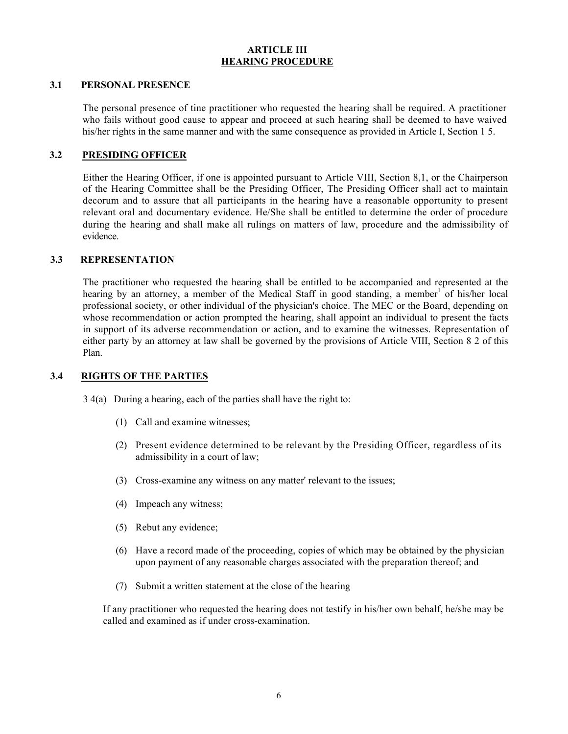#### **ARTICLE III HEARING PROCEDURE**

#### **3.1 PERSONAL PRESENCE**

The personal presence of tine practitioner who requested the hearing shall be required. A practitioner who fails without good cause to appear and proceed at such hearing shall be deemed to have waived his/her rights in the same manner and with the same consequence as provided in Article I, Section 1 5.

#### **3.2 PRESIDING OFFICER**

Either the Hearing Officer, if one is appointed pursuant to Article VIII, Section 8,1, or the Chairperson of the Hearing Committee shall be the Presiding Officer, The Presiding Officer shall act to maintain decorum and to assure that all participants in the hearing have a reasonable opportunity to present relevant oral and documentary evidence. He/She shall be entitled to determine the order of procedure during the hearing and shall make all rulings on matters of law, procedure and the admissibility of evidence.

#### **3.3 REPRESENTATION**

The practitioner who requested the hearing shall be entitled to be accompanied and represented at the hearing by an attorney, a member of the Medical Staff in good standing, a member of his/her local professional society, or other individual of the physician's choice. The MEC or the Board, depending on whose recommendation or action prompted the hearing, shall appoint an individual to present the facts in support of its adverse recommendation or action, and to examine the witnesses. Representation of either party by an attorney at law shall be governed by the provisions of Article VIII, Section 8 2 of this Plan.

#### **3.4 RIGHTS OF THE PARTIES**

- 3 4(a) During a hearing, each of the parties shall have the right to:
	- (1) Call and examine witnesses;
	- (2) Present evidence determined to be relevant by the Presiding Officer, regardless of its admissibility in a court of law;
	- (3) Cross-examine any witness on any matter' relevant to the issues;
	- (4) Impeach any witness;
	- (5) Rebut any evidence;
	- (6) Have a record made of the proceeding, copies of which may be obtained by the physician upon payment of any reasonable charges associated with the preparation thereof; and
	- (7) Submit a written statement at the close of the hearing

If any practitioner who requested the hearing does not testify in his/her own behalf, he/she may be called and examined as if under cross-examination.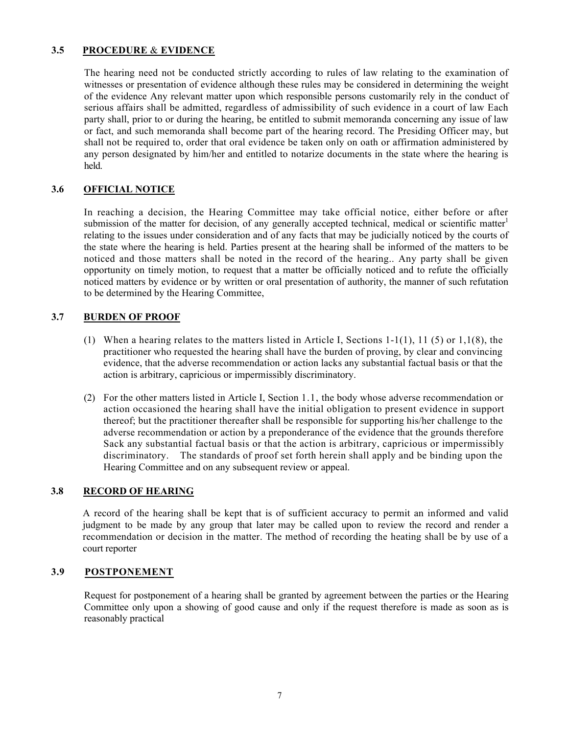# **3.5 PROCEDURE** & **EVIDENCE**

The hearing need not be conducted strictly according to rules of law relating to the examination of witnesses or presentation of evidence although these rules may be considered in determining the weight of the evidence Any relevant matter upon which responsible persons customarily rely in the conduct of serious affairs shall be admitted, regardless of admissibility of such evidence in a court of law Each party shall, prior to or during the hearing, be entitled to submit memoranda concerning any issue of law or fact, and such memoranda shall become part of the hearing record. The Presiding Officer may, but shall not be required to, order that oral evidence be taken only on oath or affirmation administered by any person designated by him/her and entitled to notarize documents in the state where the hearing is held.

# **3.6 OFFICIAL NOTICE**

In reaching a decision, the Hearing Committee may take official notice, either before or after submission of the matter for decision, of any generally accepted technical, medical or scientific matter<sup>1</sup> relating to the issues under consideration and of any facts that may be judicially noticed by the courts of the state where the hearing is held. Parties present at the hearing shall be informed of the matters to be noticed and those matters shall be noted in the record of the hearing.. Any party shall be given opportunity on timely motion, to request that a matter be officially noticed and to refute the officially noticed matters by evidence or by written or oral presentation of authority, the manner of such refutation to be determined by the Hearing Committee,

#### **3.7 BURDEN OF PROOF**

- (1) When a hearing relates to the matters listed in Article I, Sections 1-1(1), 11 (5) or 1,1(8), the practitioner who requested the hearing shall have the burden of proving, by clear and convincing evidence, that the adverse recommendation or action lacks any substantial factual basis or that the action is arbitrary, capricious or impermissibly discriminatory.
- (2) For the other matters listed in Article I, Section 1.1, the body whose adverse recommendation or action occasioned the hearing shall have the initial obligation to present evidence in support thereof; but the practitioner thereafter shall be responsible for supporting his/her challenge to the adverse recommendation or action by a preponderance of the evidence that the grounds therefore Sack any substantial factual basis or that the action is arbitrary, capricious or impermissibly discriminatory. The standards of proof set forth herein shall apply and be binding upon the Hearing Committee and on any subsequent review or appeal.

#### **3.8 RECORD OF HEARING**

A record of the hearing shall be kept that is of sufficient accuracy to permit an informed and valid judgment to be made by any group that later may be called upon to review the record and render a recommendation or decision in the matter. The method of recording the heating shall be by use of a court reporter

# **3.9 POSTPONEMENT**

Request for postponement of a hearing shall be granted by agreement between the parties or the Hearing Committee only upon a showing of good cause and only if the request therefore is made as soon as is reasonably practical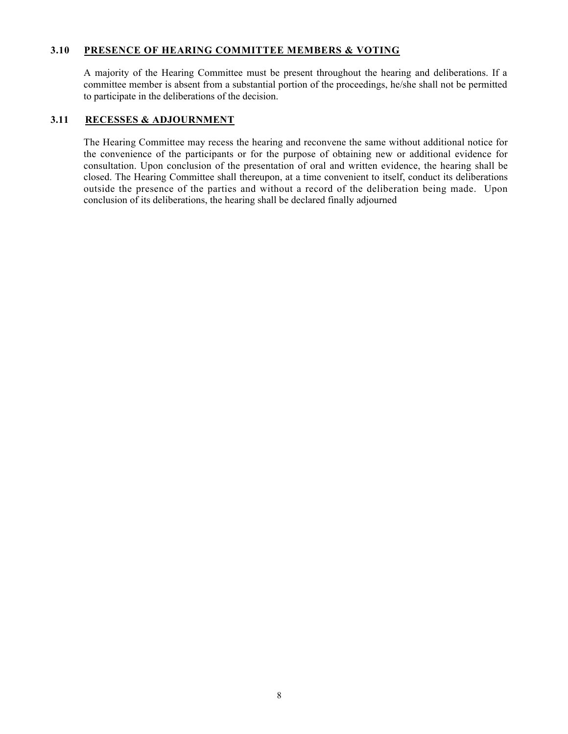#### **3.10 PRESENCE OF HEARING COMMITTEE MEMBERS & VOTING**

A majority of the Hearing Committee must be present throughout the hearing and deliberations. If a committee member is absent from a substantial portion of the proceedings, he/she shall not be permitted to participate in the deliberations of the decision.

# **3.11 RECESSES & ADJOURNMENT**

The Hearing Committee may recess the hearing and reconvene the same without additional notice for the convenience of the participants or for the purpose of obtaining new or additional evidence for consultation. Upon conclusion of the presentation of oral and written evidence, the hearing shall be closed. The Hearing Committee shall thereupon, at a time convenient to itself, conduct its deliberations outside the presence of the parties and without a record of the deliberation being made. Upon conclusion of its deliberations, the hearing shall be declared finally adjourned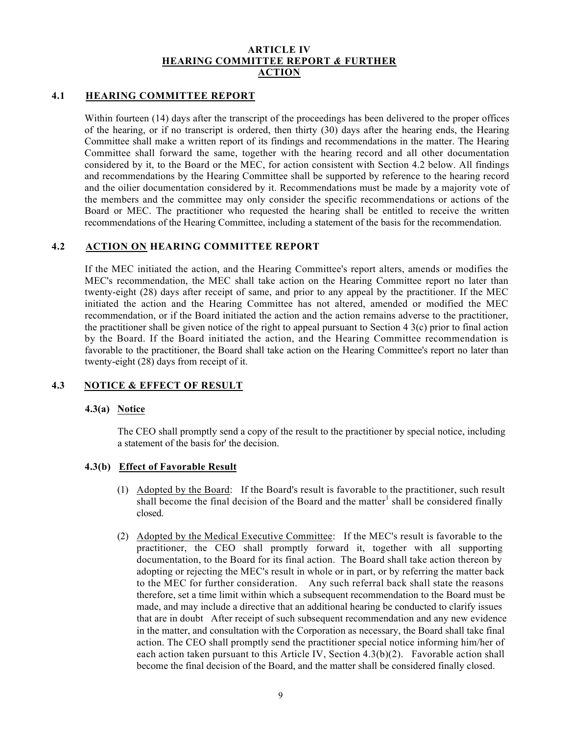#### **ARTICLE IV HEARING COMMITTEE REPORT** *&* **FURTHER ACTION**

#### **4.1 HEARING COMMITTEE REPORT**

Within fourteen (14) days after the transcript of the proceedings has been delivered to the proper offices of the hearing, or if no transcript is ordered, then thirty (30) days after the hearing ends, the Hearing Committee shall make a written report of its findings and recommendations in the matter. The Hearing Committee shall forward the same, together with the hearing record and all other documentation considered by it, to the Board or the MEC, for action consistent with Section 4.2 below. All findings and recommendations by the Hearing Committee shall be supported by reference to the hearing record and the oilier documentation considered by it. Recommendations must be made by a majority vote of the members and the committee may only consider the specific recommendations or actions of the Board or MEC. The practitioner who requested the hearing shall be entitled to receive the written recommendations of the Hearing Committee, including a statement of the basis for the recommendation.

#### **4.2 ACTION ON HEARING COMMITTEE REPORT**

If the MEC initiated the action, and the Hearing Committee's report alters, amends or modifies the MEC's recommendation, the MEC shall take action on the Hearing Committee report no later than twenty-eight (28) days after receipt of same, and prior to any appeal by the practitioner. If the MEC initiated the action and the Hearing Committee has not altered, amended or modified the MEC recommendation, or if the Board initiated the action and the action remains adverse to the practitioner, the practitioner shall be given notice of the right to appeal pursuant to Section 4 3(c) prior to final action by the Board. If the Board initiated the action, and the Hearing Committee recommendation is favorable to the practitioner, the Board shall take action on the Hearing Committee's report no later than twenty-eight (28) days from receipt of it.

#### **4.3 NOTICE & EFFECT OF RESULT**

#### **4.3(a) Notice**

The CEO shall promptly send a copy of the result to the practitioner by special notice, including a statement of the basis for' the decision.

#### **4.3(b) Effect of Favorable Result**

- (1) Adopted by the Board: If the Board's result is favorable to the practitioner, such result shall become the final decision of the Board and the matter<sup>1</sup> shall be considered finally closed.
- (2) Adopted by the Medical Executive Committee: If the MEC's result is favorable to the practitioner, the CEO shall promptly forward it, together with all supporting documentation, to the Board for its final action. The Board shall take action thereon by adopting or rejecting the MEC's result in whole or in part, or by referring the matter back to the MEC for further consideration. Any such referral back shall state the reasons therefore, set a time limit within which a subsequent recommendation to the Board must be made, and may include a directive that an additional hearing be conducted to clarify issues that are in doubt After receipt of such subsequent recommendation and any new evidence in the matter, and consultation with the Corporation as necessary, the Board shall take final action. The CEO shall promptly send the practitioner special notice informing him/her of each action taken pursuant to this Article IV, Section 4.3(b)(2). Favorable action shall become the final decision of the Board, and the matter shall be considered finally closed.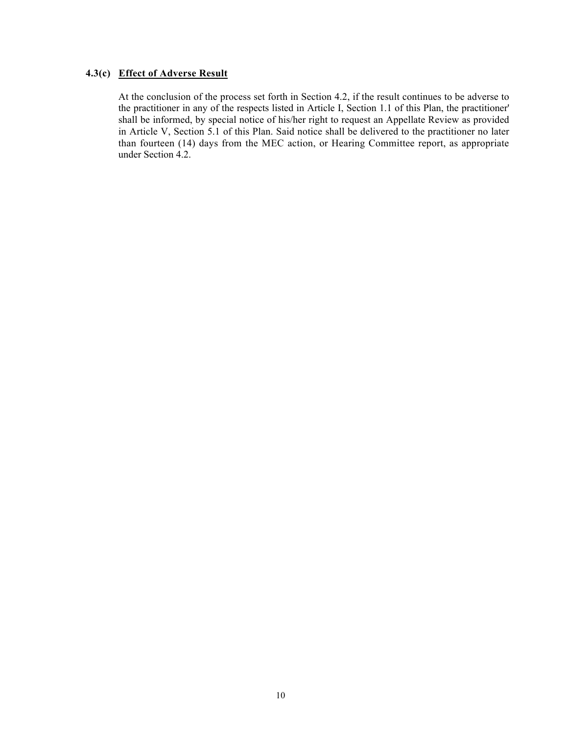#### **4.3(c) Effect of Adverse Result**

At the conclusion of the process set forth in Section 4.2, if the result continues to be adverse to the practitioner in any of the respects listed in Article I, Section 1.1 of this Plan, the practitioner' shall be informed, by special notice of his/her right to request an Appellate Review as provided in Article V, Section 5.1 of this Plan. Said notice shall be delivered to the practitioner no later than fourteen (14) days from the MEC action, or Hearing Committee report, as appropriate under Section 4.2.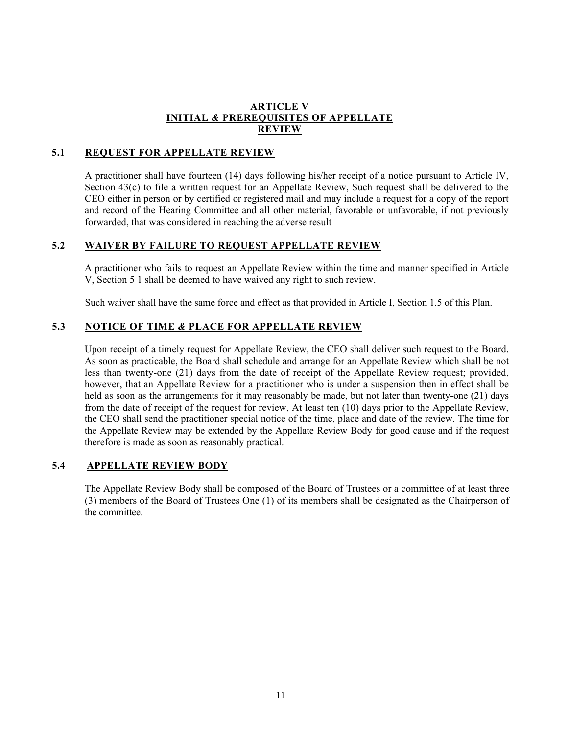#### **ARTICLE V INITIAL** *&* **PREREQUISITES OF APPELLATE REVIEW**

# **5.1 REQUEST FOR APPELLATE REVIEW**

A practitioner shall have fourteen (14) days following his/her receipt of a notice pursuant to Article IV, Section 43(c) to file a written request for an Appellate Review, Such request shall be delivered to the CEO either in person or by certified or registered mail and may include a request for a copy of the report and record of the Hearing Committee and all other material, favorable or unfavorable, if not previously forwarded, that was considered in reaching the adverse result

#### **5.2 WAIVER BY FAILURE TO REQUEST APPELLATE REVIEW**

A practitioner who fails to request an Appellate Review within the time and manner specified in Article V, Section 5 1 shall be deemed to have waived any right to such review.

Such waiver shall have the same force and effect as that provided in Article I, Section 1.5 of this Plan.

# **5.3 NOTICE OF TIME** *&* **PLACE FOR APPELLATE REVIEW**

Upon receipt of a timely request for Appellate Review, the CEO shall deliver such request to the Board. As soon as practicable, the Board shall schedule and arrange for an Appellate Review which shall be not less than twenty-one (21) days from the date of receipt of the Appellate Review request; provided, however, that an Appellate Review for a practitioner who is under a suspension then in effect shall be held as soon as the arrangements for it may reasonably be made, but not later than twenty-one (21) days from the date of receipt of the request for review, At least ten (10) days prior to the Appellate Review, the CEO shall send the practitioner special notice of the time, place and date of the review. The time for the Appellate Review may be extended by the Appellate Review Body for good cause and if the request therefore is made as soon as reasonably practical.

#### **5.4 APPELLATE REVIEW BODY**

The Appellate Review Body shall be composed of the Board of Trustees or a committee of at least three (3) members of the Board of Trustees One (1) of its members shall be designated as the Chairperson of the committee.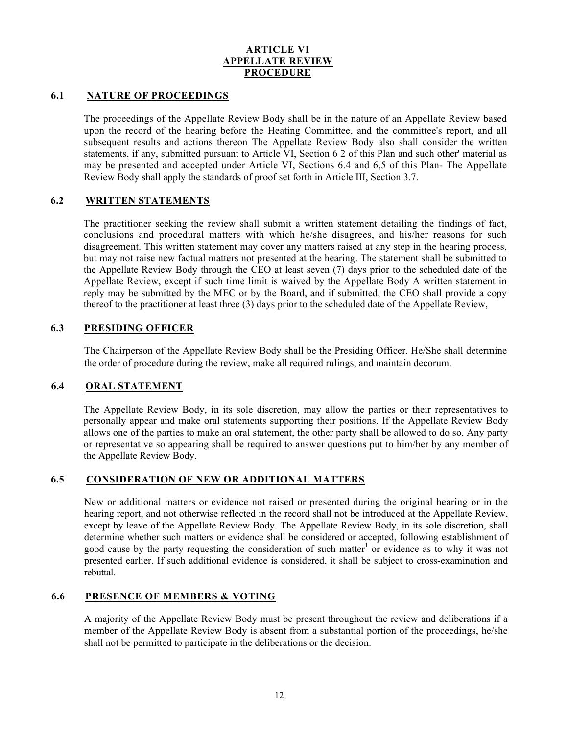#### **ARTICLE VI APPELLATE REVIEW PROCEDURE**

#### **6.1 NATURE OF PROCEEDINGS**

The proceedings of the Appellate Review Body shall be in the nature of an Appellate Review based upon the record of the hearing before the Heating Committee, and the committee's report, and all subsequent results and actions thereon The Appellate Review Body also shall consider the written statements, if any, submitted pursuant to Article VI, Section 6 2 of this Plan and such other' material as may be presented and accepted under Article VI, Sections 6.4 and 6,5 of this Plan- The Appellate Review Body shall apply the standards of proof set forth in Article III, Section 3.7.

# **6.2 WRITTEN STATEMENTS**

The practitioner seeking the review shall submit a written statement detailing the findings of fact, conclusions and procedural matters with which he/she disagrees, and his/her reasons for such disagreement. This written statement may cover any matters raised at any step in the hearing process, but may not raise new factual matters not presented at the hearing. The statement shall be submitted to the Appellate Review Body through the CEO at least seven (7) days prior to the scheduled date of the Appellate Review, except if such time limit is waived by the Appellate Body A written statement in reply may be submitted by the MEC or by the Board, and if submitted, the CEO shall provide a copy thereof to the practitioner at least three (3) days prior to the scheduled date of the Appellate Review,

# **6.3 PRESIDING OFFICER**

The Chairperson of the Appellate Review Body shall be the Presiding Officer. He/She shall determine the order of procedure during the review, make all required rulings, and maintain decorum.

# **6.4 ORAL STATEMENT**

The Appellate Review Body, in its sole discretion, may allow the parties or their representatives to personally appear and make oral statements supporting their positions. If the Appellate Review Body allows one of the parties to make an oral statement, the other party shall be allowed to do so. Any party or representative so appearing shall be required to answer questions put to him/her by any member of the Appellate Review Body.

# **6.5 CONSIDERATION OF NEW OR ADDITIONAL MATTERS**

New or additional matters or evidence not raised or presented during the original hearing or in the hearing report, and not otherwise reflected in the record shall not be introduced at the Appellate Review, except by leave of the Appellate Review Body. The Appellate Review Body, in its sole discretion, shall determine whether such matters or evidence shall be considered or accepted, following establishment of good cause by the party requesting the consideration of such matter<sup>1</sup> or evidence as to why it was not presented earlier. If such additional evidence is considered, it shall be subject to cross-examination and rebuttal.

#### **6.6 PRESENCE OF MEMBERS & VOTING**

A majority of the Appellate Review Body must be present throughout the review and deliberations if a member of the Appellate Review Body is absent from a substantial portion of the proceedings, he/she shall not be permitted to participate in the deliberations or the decision.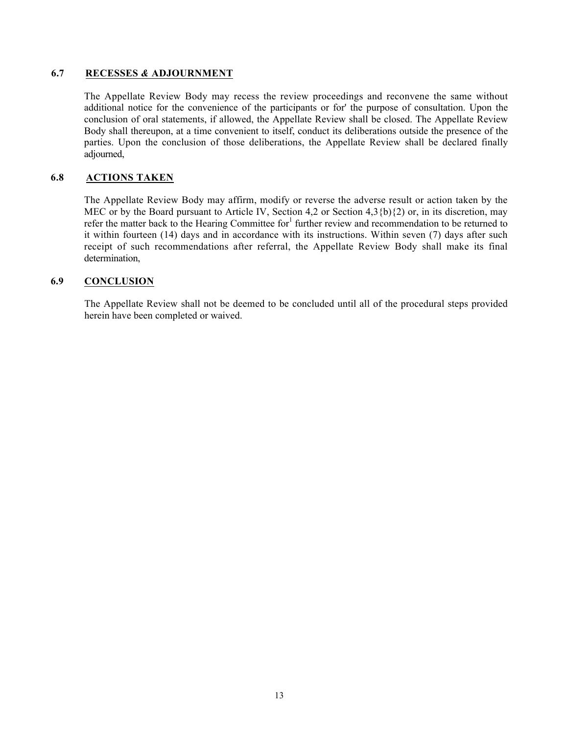#### **6.7 RECESSES** *&* **ADJOURNMENT**

The Appellate Review Body may recess the review proceedings and reconvene the same without additional notice for the convenience of the participants or for' the purpose of consultation. Upon the conclusion of oral statements, if allowed, the Appellate Review shall be closed. The Appellate Review Body shall thereupon, at a time convenient to itself, conduct its deliberations outside the presence of the parties. Upon the conclusion of those deliberations, the Appellate Review shall be declared finally adjourned,

#### **6.8 ACTIONS TAKEN**

The Appellate Review Body may affirm, modify or reverse the adverse result or action taken by the MEC or by the Board pursuant to Article IV, Section 4,2 or Section 4,3{b){2) or, in its discretion, may refer the matter back to the Hearing Committee for<sup>1</sup> further review and recommendation to be returned to it within fourteen (14) days and in accordance with its instructions. Within seven (7) days after such receipt of such recommendations after referral, the Appellate Review Body shall make its final determination,

#### **6.9 CONCLUSION**

The Appellate Review shall not be deemed to be concluded until all of the procedural steps provided herein have been completed or waived.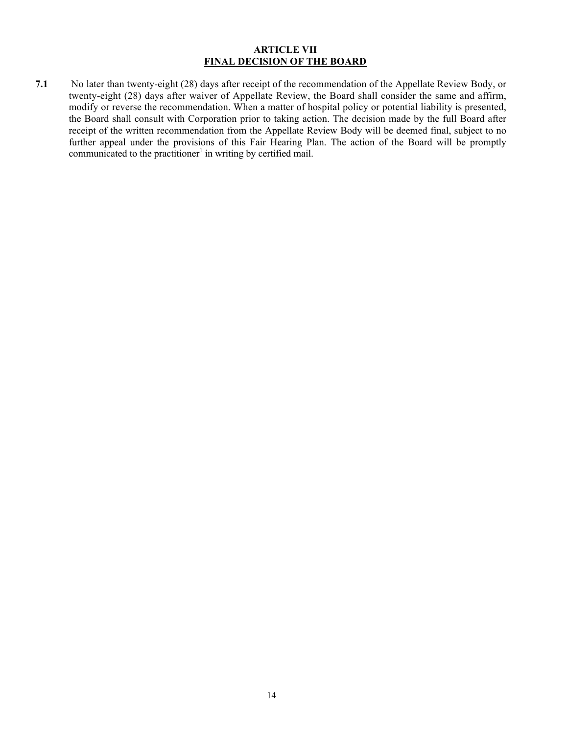#### **ARTICLE VII FINAL DECISION OF THE BOARD**

**7.1** No later than twenty-eight (28) days after receipt of the recommendation of the Appellate Review Body, or twenty-eight (28) days after waiver of Appellate Review, the Board shall consider the same and affirm, modify or reverse the recommendation. When a matter of hospital policy or potential liability is presented, the Board shall consult with Corporation prior to taking action. The decision made by the full Board after receipt of the written recommendation from the Appellate Review Body will be deemed final, subject to no further appeal under the provisions of this Fair Hearing Plan. The action of the Board will be promptly communicated to the practitioner<sup>1</sup> in writing by certified mail.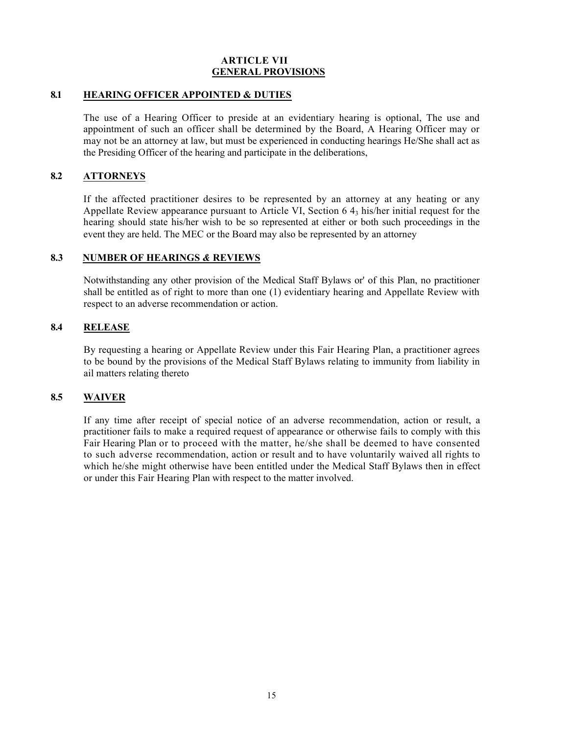#### **ARTICLE VII GENERAL PROVISIONS**

#### **8.1 HEARING OFFICER APPOINTED & DUTIES**

The use of a Hearing Officer to preside at an evidentiary hearing is optional, The use and appointment of such an officer shall be determined by the Board, A Hearing Officer may or may not be an attorney at law, but must be experienced in conducting hearings He/She shall act as the Presiding Officer of the hearing and participate in the deliberations,

#### **8.2 ATTORNEYS**

If the affected practitioner desires to be represented by an attorney at any heating or any Appellate Review appearance pursuant to Article VI, Section  $64<sub>3</sub>$  his/her initial request for the hearing should state his/her wish to be so represented at either or both such proceedings in the event they are held. The MEC or the Board may also be represented by an attorney

#### **8.3 NUMBER OF HEARINGS** *&* **REVIEWS**

Notwithstanding any other provision of the Medical Staff Bylaws or' of this Plan, no practitioner shall be entitled as of right to more than one (1) evidentiary hearing and Appellate Review with respect to an adverse recommendation or action.

#### **8.4 RELEASE**

By requesting a hearing or Appellate Review under this Fair Hearing Plan, a practitioner agrees to be bound by the provisions of the Medical Staff Bylaws relating to immunity from liability in ail matters relating thereto

# **8.5 WAIVER**

If any time after receipt of special notice of an adverse recommendation, action or result, a practitioner fails to make a required request of appearance or otherwise fails to comply with this Fair Hearing Plan or to proceed with the matter, he/she shall be deemed to have consented to such adverse recommendation, action or result and to have voluntarily waived all rights to which he/she might otherwise have been entitled under the Medical Staff Bylaws then in effect or under this Fair Hearing Plan with respect to the matter involved.